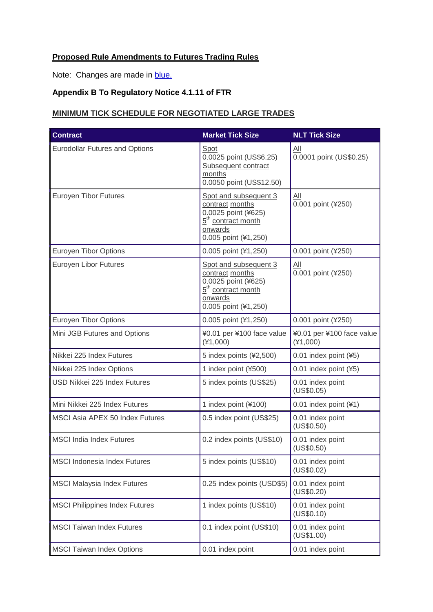## **Proposed Rule Amendments to Futures Trading Rules**

Note: Changes are made in blue.

## **Appendix B To Regulatory Notice 4.1.11 of FTR**

## **MINIMUM TICK SCHEDULE FOR NEGOTIATED LARGE TRADES**

| <b>Contract</b>                        | <b>Market Tick Size</b>                                                                                                              | <b>NLT Tick Size</b>                    |
|----------------------------------------|--------------------------------------------------------------------------------------------------------------------------------------|-----------------------------------------|
| <b>Eurodollar Futures and Options</b>  | Spot<br>0.0025 point (US\$6.25)<br>Subsequent contract<br>months<br>0.0050 point (US\$12.50)                                         | All<br>0.0001 point (US\$0.25)          |
| <b>Euroyen Tibor Futures</b>           | Spot and subsequent 3<br>contract months<br>0.0025 point (¥625)<br>5 <sup>th</sup> contract month<br>onwards<br>0.005 point (¥1,250) | All<br>0.001 point (¥250)               |
| <b>Euroyen Tibor Options</b>           | 0.005 point (¥1,250)                                                                                                                 | 0.001 point (¥250)                      |
| <b>Euroyen Libor Futures</b>           | Spot and subsequent 3<br>contract months<br>0.0025 point (¥625)<br>5 <sup>th</sup> contract month<br>onwards<br>0.005 point (¥1,250) | All<br>$0.001$ point (¥250)             |
| <b>Euroyen Tibor Options</b>           | 0.005 point (¥1,250)                                                                                                                 | 0.001 point (¥250)                      |
| Mini JGB Futures and Options           | ¥0.01 per ¥100 face value<br>$(*1,000)$                                                                                              | ¥0.01 per ¥100 face value<br>$(*1,000)$ |
| Nikkei 225 Index Futures               | 5 index points (¥2,500)                                                                                                              | 0.01 index point (¥5)                   |
| Nikkei 225 Index Options               | 1 index point (¥500)                                                                                                                 | 0.01 index point (¥5)                   |
| USD Nikkei 225 Index Futures           | 5 index points (US\$25)                                                                                                              | 0.01 index point<br>(US\$0.05)          |
| Mini Nikkei 225 Index Futures          | 1 index point (¥100)                                                                                                                 | 0.01 index point (¥1)                   |
| <b>MSCI Asia APEX 50 Index Futures</b> | 0.5 index point (US\$25)                                                                                                             | 0.01 index point<br>(US\$0.50)          |
| <b>MSCI India Index Futures</b>        | 0.2 index points (US\$10)                                                                                                            | 0.01 index point<br>(US\$0.50)          |
| <b>MSCI Indonesia Index Futures</b>    | 5 index points (US\$10)                                                                                                              | 0.01 index point<br>(US\$0.02)          |
| <b>MSCI Malaysia Index Futures</b>     | 0.25 index points (USD\$5)                                                                                                           | 0.01 index point<br>(US\$0.20)          |
| <b>MSCI Philippines Index Futures</b>  | 1 index points (US\$10)                                                                                                              | 0.01 index point<br>(US\$0.10)          |
| <b>MSCI Taiwan Index Futures</b>       | 0.1 index point (US\$10)                                                                                                             | 0.01 index point<br>(US\$1.00)          |
| <b>MSCI Taiwan Index Options</b>       | 0.01 index point                                                                                                                     | 0.01 index point                        |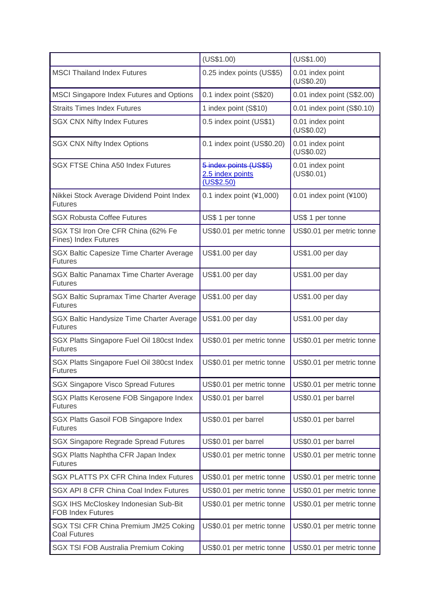|                                                                   | (US\$1.00)                                               | (US\$1.00)                     |
|-------------------------------------------------------------------|----------------------------------------------------------|--------------------------------|
| <b>MSCI Thailand Index Futures</b>                                | 0.25 index points (US\$5)                                | 0.01 index point<br>(US\$0.20) |
| MSCI Singapore Index Futures and Options                          | 0.1 index point (S\$20)                                  | 0.01 index point (S\$2.00)     |
| <b>Straits Times Index Futures</b>                                | 1 index point (S\$10)                                    | 0.01 index point (S\$0.10)     |
| <b>SGX CNX Nifty Index Futures</b>                                | 0.5 index point (US\$1)                                  | 0.01 index point<br>(US\$0.02) |
| <b>SGX CNX Nifty Index Options</b>                                | 0.1 index point (US\$0.20)                               | 0.01 index point<br>(US\$0.02) |
| SGX FTSE China A50 Index Futures                                  | 5 index points (US\$5)<br>2.5 index points<br>(US\$2.50) | 0.01 index point<br>(US\$0.01) |
| Nikkei Stock Average Dividend Point Index<br><b>Futures</b>       | 0.1 index point (¥1,000)                                 | 0.01 index point (¥100)        |
| <b>SGX Robusta Coffee Futures</b>                                 | US\$ 1 per tonne                                         | US\$ 1 per tonne               |
| SGX TSI Iron Ore CFR China (62% Fe<br><b>Fines) Index Futures</b> | US\$0.01 per metric tonne                                | US\$0.01 per metric tonne      |
| SGX Baltic Capesize Time Charter Average<br><b>Futures</b>        | US\$1.00 per day                                         | US\$1.00 per day               |
| SGX Baltic Panamax Time Charter Average<br><b>Futures</b>         | US\$1.00 per day                                         | US\$1.00 per day               |
| SGX Baltic Supramax Time Charter Average<br><b>Futures</b>        | US\$1.00 per day                                         | US\$1.00 per day               |
| SGX Baltic Handysize Time Charter Average<br><b>Futures</b>       | US\$1.00 per day                                         | US\$1.00 per day               |
| SGX Platts Singapore Fuel Oil 180cst Index<br><b>Futures</b>      | US\$0.01 per metric tonne                                | US\$0.01 per metric tonne      |
| SGX Platts Singapore Fuel Oil 380cst Index<br><b>Futures</b>      | US\$0.01 per metric tonne                                | US\$0.01 per metric tonne      |
| <b>SGX Singapore Visco Spread Futures</b>                         | US\$0.01 per metric tonne                                | US\$0.01 per metric tonne      |
| SGX Platts Kerosene FOB Singapore Index<br><b>Futures</b>         | US\$0.01 per barrel                                      | US\$0.01 per barrel            |
| SGX Platts Gasoil FOB Singapore Index<br><b>Futures</b>           | US\$0.01 per barrel                                      | US\$0.01 per barrel            |
| <b>SGX Singapore Regrade Spread Futures</b>                       | US\$0.01 per barrel                                      | US\$0.01 per barrel            |
| SGX Platts Naphtha CFR Japan Index<br><b>Futures</b>              | US\$0.01 per metric tonne                                | US\$0.01 per metric tonne      |
| <b>SGX PLATTS PX CFR China Index Futures</b>                      | US\$0.01 per metric tonne                                | US\$0.01 per metric tonne      |
| SGX API 8 CFR China Coal Index Futures                            | US\$0.01 per metric tonne                                | US\$0.01 per metric tonne      |
| SGX IHS McCloskey Indonesian Sub-Bit<br><b>FOB Index Futures</b>  | US\$0.01 per metric tonne                                | US\$0.01 per metric tonne      |
| SGX TSI CFR China Premium JM25 Coking<br><b>Coal Futures</b>      | US\$0.01 per metric tonne                                | US\$0.01 per metric tonne      |
| <b>SGX TSI FOB Australia Premium Coking</b>                       | US\$0.01 per metric tonne                                | US\$0.01 per metric tonne      |